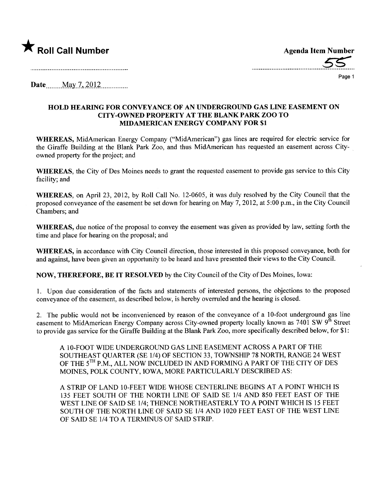

**\*** Roll Call Number<br>
Agenda Item Number<br>
Agenda Item Number

Page 1

Date \_\_\_\_ May 7, 2012 \_\_\_\_\_\_\_\_\_\_

## HOLD HEARING FOR CONVEYANCE OF AN UNERGROUND GAS LINE EASEMENT ON CITY-OWNED PROPERTY AT THE BLANK PARK ZOO TO MIDAMERICAN ENERGY COMPANY FOR \$1

WHEREAS, MidAmerican Energy Company ("MidAmerican") gas lines are required for electric service for the Giraffe Building at the Blank Park Zoo, and thus MidAmerican has requested an easement across Cityowned property for the project; and

WHEREAS, the City of Des Moines needs to grant the requested easement to provide gas service to this City facility; and

WHEREAS, on April 23, 2012, by Roll Call No. 12-0605, it was duly resolved by the City Council that the proposed conveyance of the easement be set down for hearing on May 7, 2012, at 5:00 p.m., in the City Council Chambers; and

WHEREAS, due notice of the proposal to convey the easement was given as provided by law, setting forth the time and place for hearing on the proposal; and

WHEREAS, in accordance with City Council direction, those interested in this proposed conveyance, both for and against, have been given an opportunity to be heard and have presented their views to the City Council.

NOW, THEREFORE, BE IT RESOLVED by the City Council of the City of Des Moines, Iowa:

1. Upon due consideration of the facts and statements of interested persons, the objections to the proposed conveyance ofthe easement, as described below, is hereby overruled and the hearing is closed.

2. The public would not be inconvenienced by reason of the conveyance of a 10-foot underground gas line easement to MidAmerican Energy Company across City-owned property locally known as 7401 SW 9<sup>th</sup> Street to provide gas service for the Giraffe Building at the Blank Park Zoo, more specifically described below, for \$1:

A 10-FOOT WIDE UNDERGROUND GAS LINE EASEMENT ACROSS A PART OF THE SOUTHEAST QUARTER (SE 1/4) OF SECTION 33, TOWNSHIP 78 NORTH, RANGE 24 WEST OF THE 5<sup>TH</sup> P.M., ALL NOW INCLUDED IN AND FORMING A PART OF THE CITY OF DES MOINES, POLK COUNTY, IOWA, MORE PARTICULARLY DESCRIBED AS:

A STRIP OF LAND 10-FEET WIDE WHOSE CENTERLINE BEGINS AT A POINT WHICH IS 135 FEET SOUTH OF THE NORTH LINE OF SAID SE 1/4 AND 850 FEET EAST OF THE WEST LINE OF SAID SE 1/4; THENCE NORTHEASTERLY TO A POINT WHICH IS 15 FEET SOUTH OF THE NORTH LINE OF SAID SE 1/4 AND 1020 FEET EAST OF THE WEST LINE OF SAID SE 1/4 TO A TERMINUS OF SAID STRIP.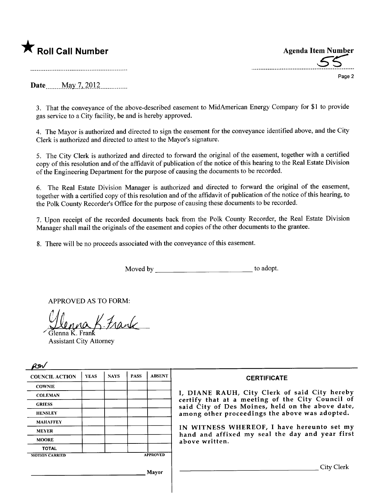

\* Roll Call Number<br>
Agenda Item Number<br>
55

Page 2

Date \_\_\_\_\_ May 7, 2012

3. That the conveyance of the above-described easement to MidAmerican Energy Company for \$1 to provide gas service to a City facility, be and is hereby approved.

4. The Mayor is authorized and directed to sign the easement for the conveyance identified above, and the City Clerk is authorized and directed to attest to the Mayor's signature.

5. The City Clerk is authorized and directed to forward the original of the easement, together with a certified copy of this resolution and of the affidavit of publication of the notice of this hearing to the Real Estate Division of the Engineering Department for the purpose of causing the documents to be recorded.

6. The Real Estate Division Manager is authorized and directed to forward the original of the easement, together with a certified copy of this resolution and of the affidavit of publication of the notice of this hearing, to the Polk County Recorder's Office for the purpose of causing these documents to be recorded.

7. Upon receipt of the recorded documents back from the Polk County Recorder, the Real Estate Division Manager shall mail the originals of the easement and copies of the other documents to the grantee.

8. There will be no proceeds associated with the conveyance of this easement.

Moved by to adopt.

APPROVED AS TO FORM:

Glenna K. Frank

Assistant City Attorney

 $\sim$   $\prime$ 

| for                   |             |             |             |                 |                                                                                                   |  |  |
|-----------------------|-------------|-------------|-------------|-----------------|---------------------------------------------------------------------------------------------------|--|--|
| <b>COUNCIL ACTION</b> | <b>YEAS</b> | <b>NAYS</b> | <b>PASS</b> | <b>ABSENT</b>   | <b>CERTIFICATE</b>                                                                                |  |  |
| <b>COWNIE</b>         |             |             |             |                 |                                                                                                   |  |  |
| <b>COLEMAN</b>        |             |             |             |                 | I, DIANE RAUH, City Clerk of said City hereby<br>certify that at a meeting of the City Council of |  |  |
| <b>GRIESS</b>         |             |             |             |                 | said City of Des Moines, held on the above date,                                                  |  |  |
| <b>HENSLEY</b>        |             |             |             |                 | among other proceedings the above was adopted.                                                    |  |  |
| <b>MAHAFFEY</b>       |             |             |             |                 |                                                                                                   |  |  |
| <b>MEYER</b>          |             |             |             |                 | IN WITNESS WHEREOF, I have hereunto set my<br>hand and affixed my seal the day and year first     |  |  |
| <b>MOORE</b>          |             |             |             |                 | above written.                                                                                    |  |  |
| <b>TOTAL</b>          |             |             |             |                 |                                                                                                   |  |  |
| <b>MOTION CARRIED</b> |             |             |             | <b>APPROVED</b> |                                                                                                   |  |  |
|                       |             |             |             | Mayor           | City Clerk                                                                                        |  |  |